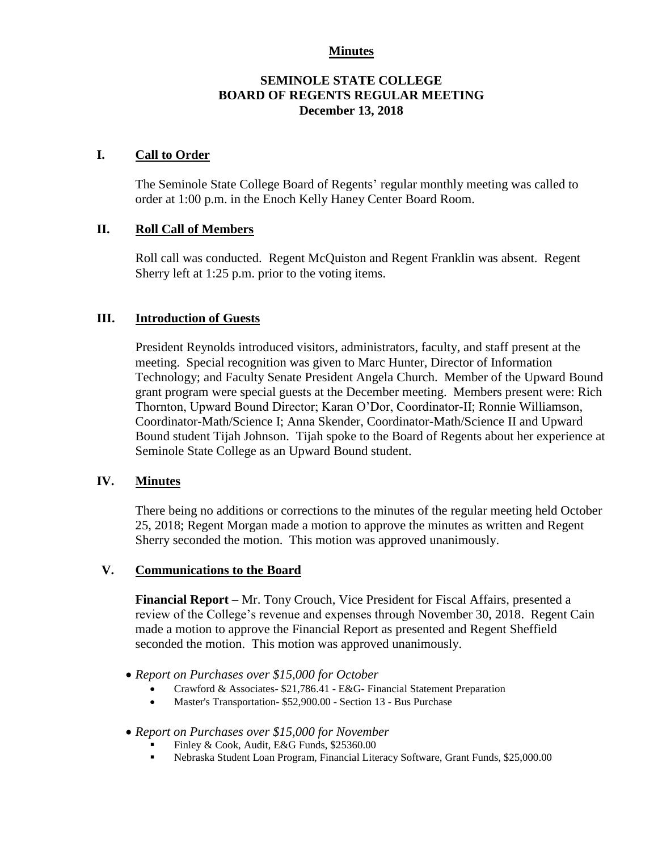### **Minutes**

### **SEMINOLE STATE COLLEGE BOARD OF REGENTS REGULAR MEETING December 13, 2018**

### **I. Call to Order**

The Seminole State College Board of Regents' regular monthly meeting was called to order at 1:00 p.m. in the Enoch Kelly Haney Center Board Room.

### **II. Roll Call of Members**

Roll call was conducted. Regent McQuiston and Regent Franklin was absent. Regent Sherry left at 1:25 p.m. prior to the voting items.

#### **III. Introduction of Guests**

President Reynolds introduced visitors, administrators, faculty, and staff present at the meeting. Special recognition was given to Marc Hunter, Director of Information Technology; and Faculty Senate President Angela Church. Member of the Upward Bound grant program were special guests at the December meeting. Members present were: Rich Thornton, Upward Bound Director; Karan O'Dor, Coordinator-II; Ronnie Williamson, Coordinator-Math/Science I; Anna Skender, Coordinator-Math/Science II and Upward Bound student Tijah Johnson. Tijah spoke to the Board of Regents about her experience at Seminole State College as an Upward Bound student.

### **IV. Minutes**

There being no additions or corrections to the minutes of the regular meeting held October 25, 2018; Regent Morgan made a motion to approve the minutes as written and Regent Sherry seconded the motion. This motion was approved unanimously.

### **V. Communications to the Board**

**Financial Report** – Mr. Tony Crouch, Vice President for Fiscal Affairs, presented a review of the College's revenue and expenses through November 30, 2018. Regent Cain made a motion to approve the Financial Report as presented and Regent Sheffield seconded the motion. This motion was approved unanimously.

- *Report on Purchases over \$15,000 for October*
	- Crawford & Associates- \$21,786.41 E&G- Financial Statement Preparation
	- Master's Transportation- \$52,900.00 Section 13 Bus Purchase
- *Report on Purchases over \$15,000 for November*
	- Finley & Cook, Audit, E&G Funds, \$25360.00
	- Nebraska Student Loan Program, Financial Literacy Software, Grant Funds, \$25,000.00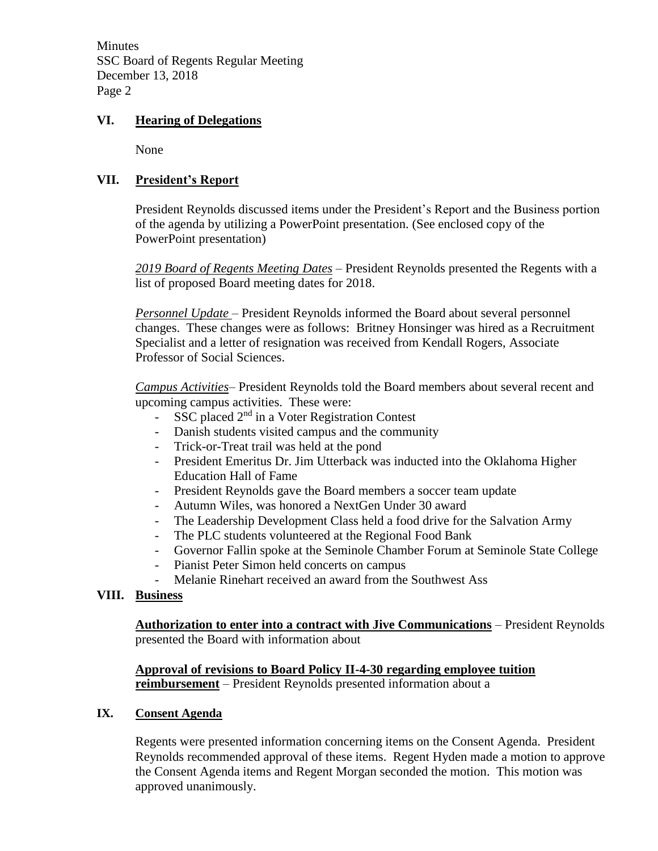**Minutes** SSC Board of Regents Regular Meeting December 13, 2018 Page 2

## **VI. Hearing of Delegations**

None

### **VII. President's Report**

President Reynolds discussed items under the President's Report and the Business portion of the agenda by utilizing a PowerPoint presentation. (See enclosed copy of the PowerPoint presentation)

*2019 Board of Regents Meeting Dates* – President Reynolds presented the Regents with a list of proposed Board meeting dates for 2018.

*Personnel Update* – President Reynolds informed the Board about several personnel changes. These changes were as follows: Britney Honsinger was hired as a Recruitment Specialist and a letter of resignation was received from Kendall Rogers, Associate Professor of Social Sciences.

*Campus Activities*– President Reynolds told the Board members about several recent and upcoming campus activities. These were:

- SSC placed  $2<sup>nd</sup>$  in a Voter Registration Contest
- Danish students visited campus and the community
- Trick-or-Treat trail was held at the pond
- President Emeritus Dr. Jim Utterback was inducted into the Oklahoma Higher Education Hall of Fame
- President Reynolds gave the Board members a soccer team update
- Autumn Wiles, was honored a NextGen Under 30 award
- The Leadership Development Class held a food drive for the Salvation Army
- The PLC students volunteered at the Regional Food Bank
- Governor Fallin spoke at the Seminole Chamber Forum at Seminole State College
- Pianist Peter Simon held concerts on campus
- Melanie Rinehart received an award from the Southwest Ass

### **VIII. Business**

**Authorization to enter into a contract with Jive Communications** – President Reynolds presented the Board with information about

### **Approval of revisions to Board Policy II-4-30 regarding employee tuition reimbursement** – President Reynolds presented information about a

### **IX. Consent Agenda**

Regents were presented information concerning items on the Consent Agenda. President Reynolds recommended approval of these items. Regent Hyden made a motion to approve the Consent Agenda items and Regent Morgan seconded the motion. This motion was approved unanimously.